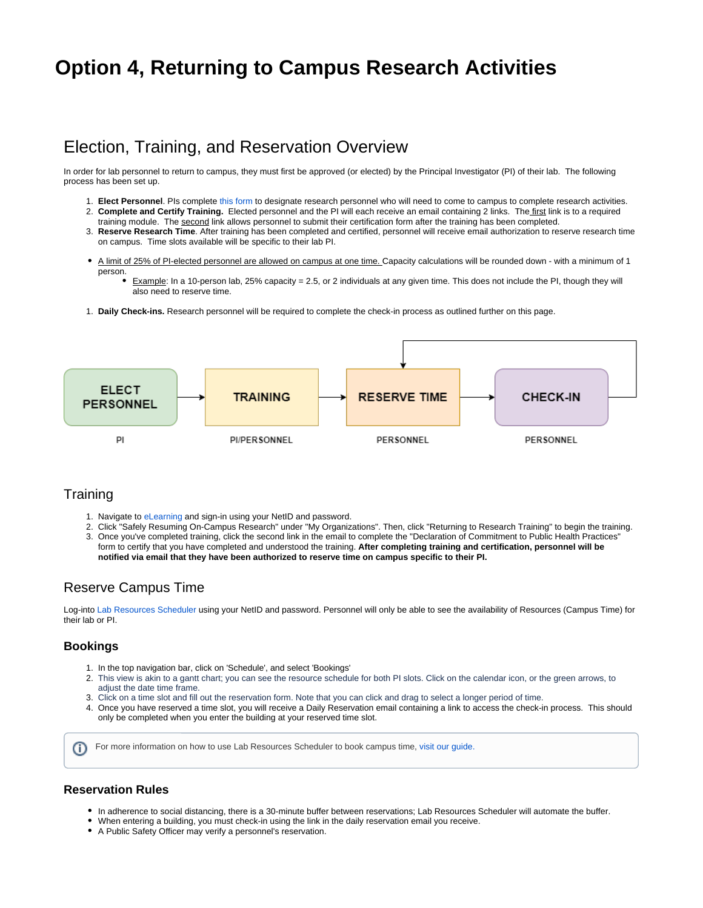# **Option 4, Returning to Campus Research Activities**

# Election, Training, and Reservation Overview

In order for lab personnel to return to campus, they must first be approved (or elected) by the Principal Investigator (PI) of their lab. The following process has been set up.

- 1. **Elect Personnel**. PIs complete [this form](https://redcap.utdallas.edu/surveys/?s=FHWNJC7HLE) to designate research personnel who will need to come to campus to complete research activities.
- 2. **Complete and Certify Training.** Elected personnel and the PI will each receive an email containing 2 links. The first link is to a required training module. The second link allows personnel to submit their certification form after the training has been completed.
- 3. **Reserve Research Time**. After training has been completed and certified, personnel will receive email authorization to reserve research time on campus. Time slots available will be specific to their lab PI.
- A limit of 25% of PI-elected personnel are allowed on campus at one time. Capacity calculations will be rounded down with a minimum of 1 person.
	- Example: In a 10-person lab, 25% capacity = 2.5, or 2 individuals at any given time. This does not include the PI, though they will also need to reserve time.
- 1. **Daily Check-ins.** Research personnel will be required to complete the check-in process as outlined further on this page.



### **Training**

- 1. Navigate to [eLearning](https://elearning.utdallas.edu/) and sign-in using your NetID and password.
- 2. Click "Safely Resuming On-Campus Research" under "My Organizations". Then, click "Returning to Research Training" to begin the training. 3. Once you've completed training, click the second link in the email to complete the "Declaration of Commitment to Public Health Practices" form to certify that you have completed and understood the training. **After completing training and certification, personnel will be notified via email that they have been authorized to reserve time on campus specific to their PI.**

### Reserve Campus Time

Log-into [Lab Resources Scheduler](https://labresources.utdallas.edu) using your NetID and password. Personnel will only be able to see the availability of Resources (Campus Time) for their lab or PI.

### **Bookings**

൹

- 1. In the top navigation bar, click on 'Schedule', and select 'Bookings'
- 2. This view is akin to a gantt chart; you can see the resource schedule for both PI slots. Click on the calendar icon, or the green arrows, to adjust the date time frame.
- 3. Click on a time slot and fill out the reservation form. Note that you can click and drag to select a longer period of time.
- 4. Once you have reserved a time slot, you will receive a Daily Reservation email containing a link to access the check-in process. This should only be completed when you enter the building at your reserved time slot.

For more information on how to use Lab Resources Scheduler to book campus time, [visit our guide.](https://wiki.utdallas.edu/display/HOME/How+to+Reserve+Campus+Time)

### **Reservation Rules**

- In adherence to social distancing, there is a 30-minute buffer between reservations; Lab Resources Scheduler will automate the buffer.
- When entering a building, you must check-in using the link in the daily reservation email you receive.
- A Public Safety Officer may verify a personnel's reservation.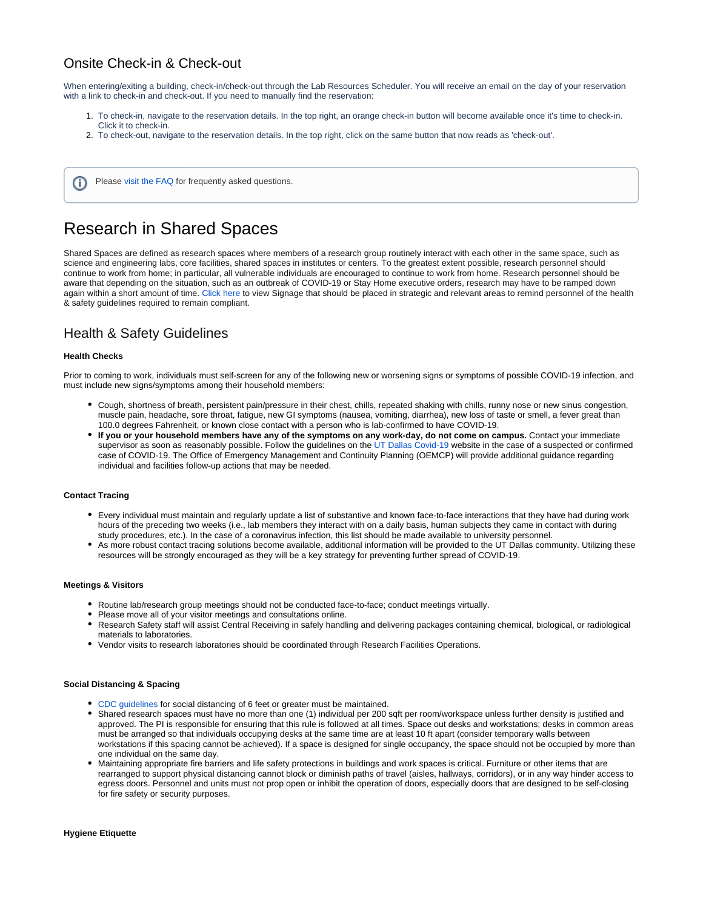## Onsite Check-in & Check-out

When entering/exiting a building, check-in/check-out through the Lab Resources Scheduler. You will receive an email on the day of your reservation with a link to check-in and check-out. If you need to manually find the reservation:

- 1. To check-in, navigate to the reservation details. In the top right, an orange check-in button will become available once it's time to check-in. Click it to check-in.
- 2. To check-out, navigate to the reservation details. In the top right, click on the same button that now reads as 'check-out'.

Please [visit the FAQ](https://wiki.utdallas.edu/display/HOME/Original%2C+Return+to+Research+FAQs) for frequently asked questions. (i)

# Research in Shared Spaces

Shared Spaces are defined as research spaces where members of a research group routinely interact with each other in the same space, such as science and engineering labs, core facilities, shared spaces in institutes or centers. To the greatest extent possible, research personnel should continue to work from home; in particular, all vulnerable individuals are encouraged to continue to work from home. Research personnel should be aware that depending on the situation, such as an outbreak of COVID-19 or Stay Home executive orders, research may have to be ramped down again within a short amount of time. [Click here](https://utdallas.app.box.com/s/4kl13ojf8p25mbhvqav77ufy8e66arss) to view Signage that should be placed in strategic and relevant areas to remind personnel of the health & safety guidelines required to remain compliant.

## Health & Safety Guidelines

#### **Health Checks**

Prior to coming to work, individuals must self-screen for any of the following new or worsening signs or symptoms of possible COVID-19 infection, and must include new signs/symptoms among their household members:

- Cough, shortness of breath, persistent pain/pressure in their chest, chills, repeated shaking with chills, runny nose or new sinus congestion, muscle pain, headache, sore throat, fatigue, new GI symptoms (nausea, vomiting, diarrhea), new loss of taste or smell, a fever great than 100.0 degrees Fahrenheit, or known close contact with a person who is lab-confirmed to have COVID-19.
- **If you or your household members have any of the symptoms on any work-day, do not come on campus.** Contact your immediate supervisor as soon as reasonably possible. Follow the guidelines on the [UT Dallas Covid-19](https://utdallas.edu/coronavirus/faq/#faculty) website in the case of a suspected or confirmed case of COVID-19. The Office of Emergency Management and Continuity Planning (OEMCP) will provide additional guidance regarding individual and facilities follow-up actions that may be needed.

#### **Contact Tracing**

- Every individual must maintain and regularly update a list of substantive and known face-to-face interactions that they have had during work hours of the preceding two weeks (i.e., lab members they interact with on a daily basis, human subjects they came in contact with during study procedures, etc.). In the case of a coronavirus infection, this list should be made available to university personnel.
- As more robust contact tracing solutions become available, additional information will be provided to the UT Dallas community. Utilizing these resources will be strongly encouraged as they will be a key strategy for preventing further spread of COVID-19.

#### **Meetings & Visitors**

- Routine lab/research group meetings should not be conducted face-to-face; conduct meetings virtually.
- Please move all of your visitor meetings and consultations online.
- Research Safety staff will assist Central Receiving in safely handling and delivering packages containing chemical, biological, or radiological materials to laboratories.
- Vendor visits to research laboratories should be coordinated through Research Facilities Operations.

#### **Social Distancing & Spacing**

- [CDC guidelines](https://www.cdc.gov/coronavirus/2019-ncov/prevent-getting-sick/prevention.html) for social distancing of 6 feet or greater must be maintained.
- Shared research spaces must have no more than one (1) individual per 200 sqft per room/workspace unless further density is justified and approved. The PI is responsible for ensuring that this rule is followed at all times. Space out desks and workstations; desks in common areas must be arranged so that individuals occupying desks at the same time are at least 10 ft apart (consider temporary walls between workstations if this spacing cannot be achieved). If a space is designed for single occupancy, the space should not be occupied by more than one individual on the same day.
- Maintaining appropriate fire barriers and life safety protections in buildings and work spaces is critical. Furniture or other items that are rearranged to support physical distancing cannot block or diminish paths of travel (aisles, hallways, corridors), or in any way hinder access to egress doors. Personnel and units must not prop open or inhibit the operation of doors, especially doors that are designed to be self-closing for fire safety or security purposes.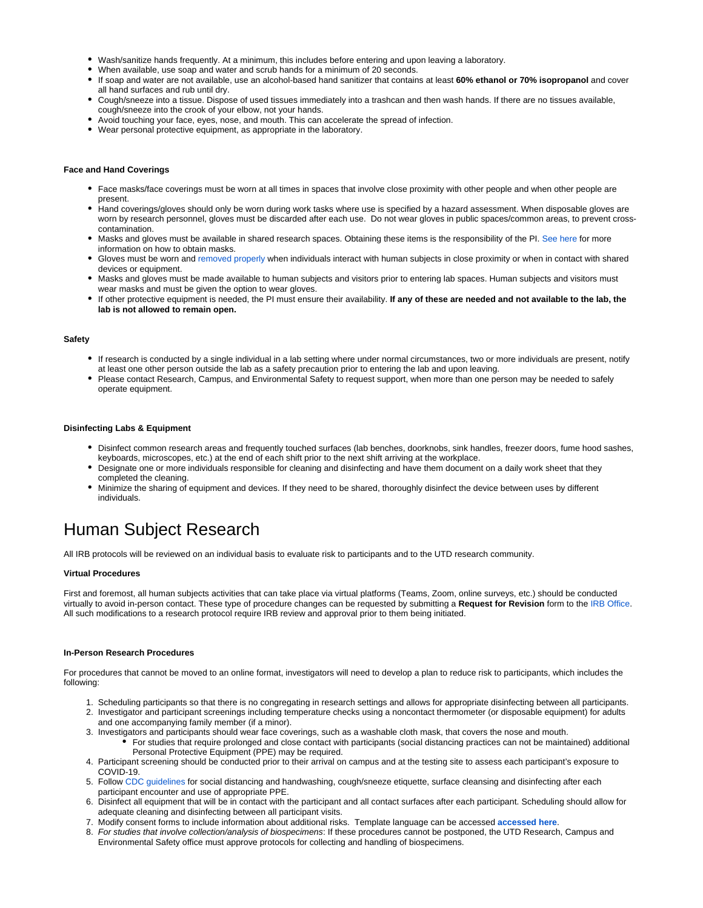- Wash/sanitize hands frequently. At a minimum, this includes before entering and upon leaving a laboratory.
- When available, use soap and water and scrub hands for a minimum of 20 seconds.
- If soap and water are not available, use an alcohol-based hand sanitizer that contains at least **60% ethanol or 70% isopropanol** and cover all hand surfaces and rub until dry.
- Cough/sneeze into a tissue. Dispose of used tissues immediately into a trashcan and then wash hands. If there are no tissues available, cough/sneeze into the crook of your elbow, not your hands.
- Avoid touching your face, eyes, nose, and mouth. This can accelerate the spread of infection.
- Wear personal protective equipment, as appropriate in the laboratory.

#### **Face and Hand Coverings**

- Face masks/face coverings must be worn at all times in spaces that involve close proximity with other people and when other people are present.
- Hand coverings/gloves should only be worn during work tasks where use is specified by a hazard assessment. When disposable gloves are worn by research personnel, gloves must be discarded after each use. Do not wear gloves in public spaces/common areas, to prevent crosscontamination.
- Masks and gloves must be available in shared research spaces. Obtaining these items is the responsibility of the PI. [See here](https://utdallas.edu/oit/cloth-face-covering-distribution/#request-a-cloth-face-covering) for more information on how to obtain masks.
- Gloves must be worn and [removed properly](https://www.cdc.gov/vhf/ebola/pdf/poster-how-to-remove-gloves.pdf) when individuals interact with human subjects in close proximity or when in contact with shared devices or equipment.
- Masks and gloves must be made available to human subjects and visitors prior to entering lab spaces. Human subjects and visitors must wear masks and must be given the option to wear gloves.
- If other protective equipment is needed, the PI must ensure their availability. **If any of these are needed and not available to the lab, the lab is not allowed to remain open.**

#### **Safety**

- If research is conducted by a single individual in a lab setting where under normal circumstances, two or more individuals are present, notify at least one other person outside the lab as a safety precaution prior to entering the lab and upon leaving.
- Please contact Research, Campus, and Environmental Safety to request support, when more than one person may be needed to safely operate equipment.

#### **Disinfecting Labs & Equipment**

- Disinfect common research areas and frequently touched surfaces (lab benches, doorknobs, sink handles, freezer doors, fume hood sashes, keyboards, microscopes, etc.) at the end of each shift prior to the next shift arriving at the workplace.
- Designate one or more individuals responsible for cleaning and disinfecting and have them document on a daily work sheet that they completed the cleaning.
- Minimize the sharing of equipment and devices. If they need to be shared, thoroughly disinfect the device between uses by different individuals.

# Human Subject Research

All IRB protocols will be reviewed on an individual basis to evaluate risk to participants and to the UTD research community.

#### **Virtual Procedures**

First and foremost, all human subjects activities that can take place via virtual platforms (Teams, Zoom, online surveys, etc.) should be conducted virtually to avoid in-person contact. These type of procedure changes can be requested by submitting a **Request for Revision** form to the [IRB Office.](mailto:irb@utdallas.edu) All such modifications to a research protocol require IRB review and approval prior to them being initiated.

#### **In-Person Research Procedures**

For procedures that cannot be moved to an online format, investigators will need to develop a plan to reduce risk to participants, which includes the following:

- 1. Scheduling participants so that there is no congregating in research settings and allows for appropriate disinfecting between all participants.
- 2. Investigator and participant screenings including temperature checks using a noncontact thermometer (or disposable equipment) for adults and one accompanying family member (if a minor).
- 3. Investigators and participants should wear face coverings, such as a washable cloth mask, that covers the nose and mouth.
	- For studies that require prolonged and close contact with participants (social distancing practices can not be maintained) additional Personal Protective Equipment (PPE) may be required.
- 4. Participant screening should be conducted prior to their arrival on campus and at the testing site to assess each participant's exposure to COVID-19.
- 5. Follow [CDC guidelines](https://www.cdc.gov/coronavirus/2019-ncov/prevent-getting-sick/prevention.html?CDC_AA_refVal=https%3A%2F%2Fwww.cdc.gov%2Fcoronavirus%2F2019-ncov%2Fprepare%2Fprevention.html) for social distancing and handwashing, cough/sneeze etiquette, surface cleansing and disinfecting after each participant encounter and use of appropriate PPE.
- 6. Disinfect all equipment that will be in contact with the participant and all contact surfaces after each participant. Scheduling should allow for adequate cleaning and disinfecting between all participant visits.
- 7. Modify consent forms to include information about additional risks. Template language can be accessed **[accessed here](https://utdallas.app.box.com/s/2dratk7i0vytyya7vd535bl0jtk3xpmh)**.
- 8. For studies that involve collection/analysis of biospecimens: If these procedures cannot be postponed, the UTD Research, Campus and Environmental Safety office must approve protocols for collecting and handling of biospecimens.